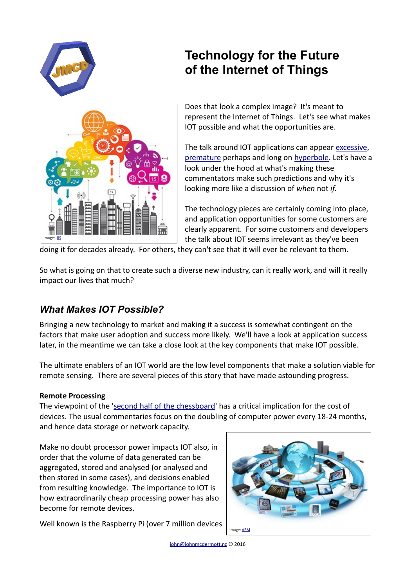

# **Technology for the Future of the Internet of Things**



Does that look a complex image? It's meant to represent the Internet of Things. Let's see what makes IOT possible and what the opportunities are.

The talk around IOT applications can appear [excessive,](http://www.gartner.com/newsroom/id/3165317) [premature](http://www.networkworld.com/article/2357907/data-center/data-center-96832-25-weirdest-things-in-the-internet-of-things.html) perhaps and long on [hyperbole.](http://www.ecnmag.com/blog/2015/11/why-iot-predictions-are-all-wrong) Let's have a look under the hood at what's making these commentators make such predictions and why it's looking more like a discussion of *when* not *if*.

The technology pieces are certainly coming into place, and application opportunities for some customers are clearly apparent. For some customers and developers the talk about IOT seems irrelevant as they've been

doing it for decades already. For others, they can't see that it will ever be relevant to them.

So what is going on that to create such a diverse new industry, can it really work, and will it really impact our lives that much?

## *What Makes IOT Possible?*

Bringing a new technology to market and making it a success is somewhat contingent on the factors that make user adoption and success more likely. We'll have a look at application success later, in the meantime we can take a close look at the key components that make IOT possible.

The ultimate enablers of an IOT world are the low level components that make a solution viable for remote sensing. There are several pieces of this story that have made astounding progress.

## **Remote Processing**

The viewpoint of the ['second half of the chessboard](http://books.wwnorton.com/books/detail.aspx?ID=4294977443)' has a critical implication for the cost of devices. The usual commentaries focus on the doubling of computer power every 18-24 months, and hence data storage or network capacity.

Make no doubt processor power impacts IOT also, in order that the volume of data generated can be aggregated, stored and analysed (or analysed and then stored in some cases), and decisions enabled from resulting knowledge. The importance to IOT is how extraordinarily cheap processing power has also become for remote devices.

Well known is the Raspberry Pi (over 7 million devices



[john@johnmcdermott.nz](mailto:john@johnmcdermott.nz) © 2016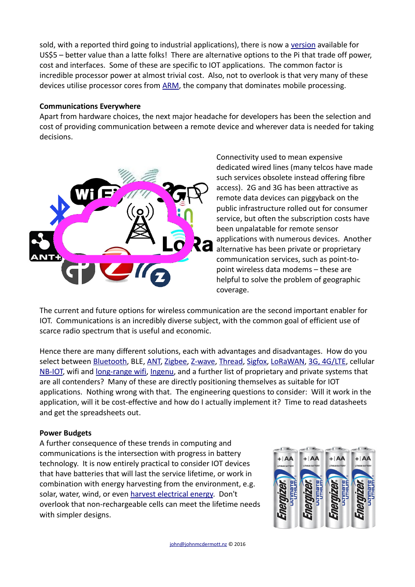sold, with a reported third going to industrial applications), there is now a [version](https://www.adafruit.com/products/2885) available for US\$5 – better value than a latte folks! There are alternative options to the Pi that trade off power, cost and interfaces. Some of these are specific to IOT applications. The common factor is incredible processor power at almost trivial cost. Also, not to overlook is that very many of these devices utilise processor cores from [ARM,](https://www.arm.com/markets/internet-of-things-iot.php) the company that dominates mobile processing.

#### **Communications Everywhere**

Apart from hardware choices, the next major headache for developers has been the selection and cost of providing communication between a remote device and wherever data is needed for taking decisions.



Connectivity used to mean expensive dedicated wired lines (many telcos have made such services obsolete instead offering fibre access). 2G and 3G has been attractive as remote data devices can piggyback on the public infrastructure rolled out for consumer service, but often the subscription costs have been unpalatable for remote sensor applications with numerous devices. Another alternative has been private or proprietary communication services, such as point-topoint wireless data modems – these are helpful to solve the problem of geographic coverage.

The current and future options for wireless communication are the second important enabler for IOT. Communications is an incredibly diverse subject, with the common goal of efficient use of scarce radio spectrum that is useful and economic.

Hence there are many different solutions, each with advantages and disadvantages. How do you select between [Bluetooth,](https://www.bluetooth.com/) BLE, [ANT,](https://www.thisisant.com/) [Zigbee,](http://www.zigbee.org/) [Z-wave,](http://www.z-wave.com/) [Thread,](https://www.threadgroup.org/What-is-Thread/Overview) [Sigfox,](http://www.sigfox.com/) [LoRaWAN,](https://www.lora-alliance.org/What-Is-LoRa/Technology) [3G, 4G/LTE,](https://www.sierrawireless.com/products-and-solutions/embedded-solutions/) cellular [NB-IOT,](http://www.vodafone.com/content/index/what/technology-blog/nb-iot-will-connect.html) wifi and [long-range wifi,](http://www.gowifi.co.nz/antennas.html) [Ingenu,](http://www.ingenu.com/) and a further list of proprietary and private systems that are all contenders? Many of these are directly positioning themselves as suitable for IOT applications. Nothing wrong with that. The engineering questions to consider: Will it work in the application, will it be cost-effective and how do I actually implement it? Time to read datasheets and get the spreadsheets out.

## **Power Budgets**

A further consequence of these trends in computing and communications is the intersection with progress in battery technology. It is now entirely practical to consider IOT devices that have batteries that will last the service lifetime, or work in combination with energy harvesting from the environment, e.g. solar, water, wind, or even [harvest electrical energy.](http://www.extremetech.com/extreme/148247-german-student-creates-electromagnetic-harvester-that-gathers-free-electricity-from-thin-air) Don't overlook that non-rechargeable cells can meet the lifetime needs with simpler designs.